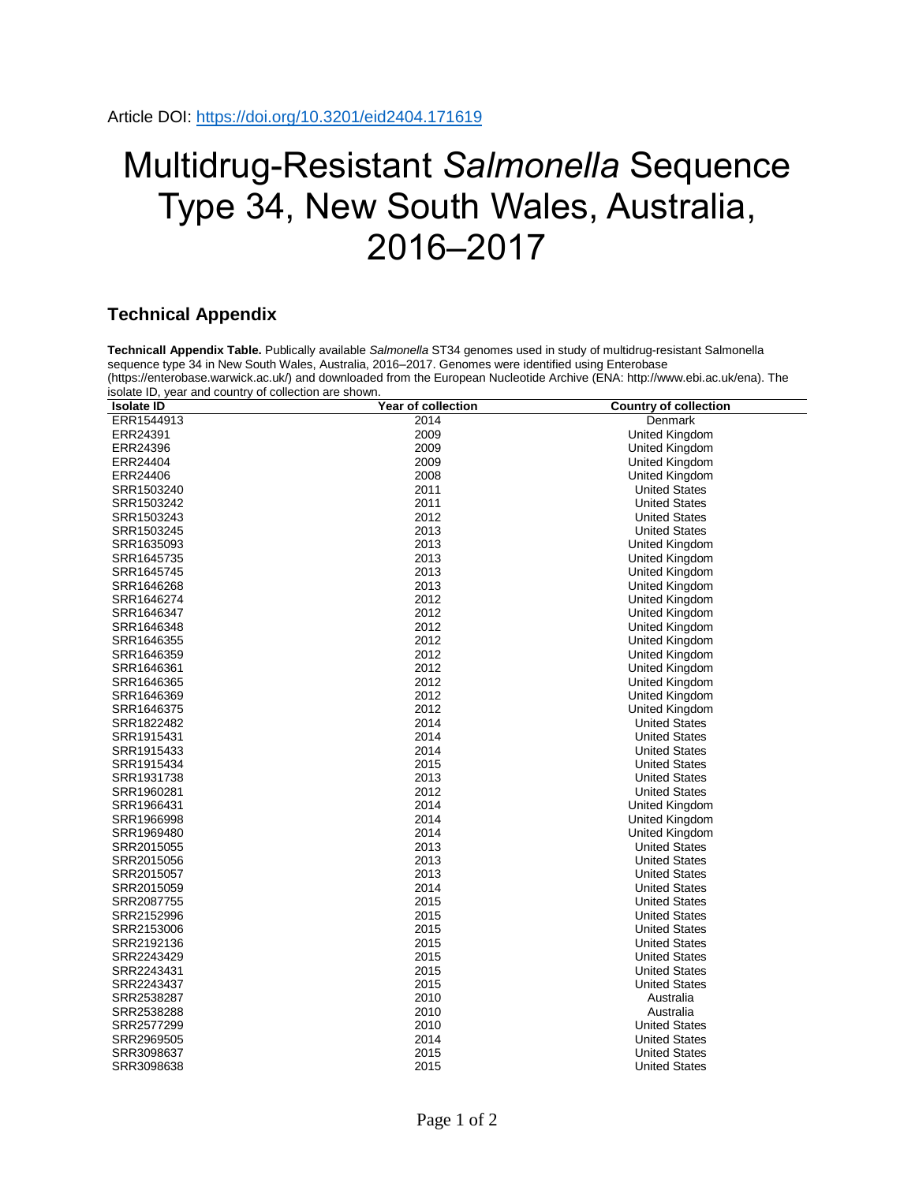## Multidrug-Resistant *Salmonella* Sequence Type 34, New South Wales, Australia, 2016–2017

## **Technical Appendix**

**Technicall Appendix Table.** Publically available *Salmonella* ST34 genomes used in study of multidrug-resistant Salmonella sequence type 34 in New South Wales, Australia, 2016–2017. Genomes were identified using Enterobase (https://enterobase.warwick.ac.uk/) and downloaded from the European Nucleotide Archive (ENA: http://www.ebi.ac.uk/ena). The isolate ID, year and country of collection are shown.

| <b>Isolate ID</b> | <b>Year of collection</b> | <b>Country of collection</b> |
|-------------------|---------------------------|------------------------------|
| ERR1544913        | 2014                      | Denmark                      |
| ERR24391          | 2009                      | United Kingdom               |
| ERR24396          | 2009                      | United Kingdom               |
| ERR24404          | 2009                      | United Kingdom               |
| ERR24406          | 2008                      | United Kingdom               |
| SRR1503240        | 2011                      | <b>United States</b>         |
| SRR1503242        | 2011                      | <b>United States</b>         |
| SRR1503243        | 2012                      | <b>United States</b>         |
| SRR1503245        | 2013                      | <b>United States</b>         |
| SRR1635093        | 2013                      | United Kingdom               |
| SRR1645735        | 2013                      | <b>United Kingdom</b>        |
| SRR1645745        | 2013                      | United Kingdom               |
| SRR1646268        | 2013                      | United Kingdom               |
| SRR1646274        | 2012                      | United Kingdom               |
| SRR1646347        | 2012                      | United Kingdom               |
| SRR1646348        | 2012                      | <b>United Kingdom</b>        |
| SRR1646355        | 2012                      | United Kingdom               |
| SRR1646359        | 2012                      | <b>United Kingdom</b>        |
| SRR1646361        | 2012                      | United Kingdom               |
| SRR1646365        | 2012                      | United Kingdom               |
| SRR1646369        | 2012                      | <b>United Kingdom</b>        |
| SRR1646375        | 2012                      | United Kingdom               |
| SRR1822482        | 2014                      | <b>United States</b>         |
| SRR1915431        | 2014                      | <b>United States</b>         |
| SRR1915433        | 2014                      | <b>United States</b>         |
| SRR1915434        | 2015                      | <b>United States</b>         |
| SRR1931738        | 2013                      | <b>United States</b>         |
| SRR1960281        | 2012                      | <b>United States</b>         |
| SRR1966431        | 2014                      | <b>United Kingdom</b>        |
| SRR1966998        | 2014                      | United Kingdom               |
| SRR1969480        | 2014                      | <b>United Kingdom</b>        |
| SRR2015055        | 2013                      | <b>United States</b>         |
| SRR2015056        | 2013                      | <b>United States</b>         |
| SRR2015057        | 2013                      | <b>United States</b>         |
| SRR2015059        | 2014                      | <b>United States</b>         |
| SRR2087755        | 2015                      | <b>United States</b>         |
| SRR2152996        | 2015                      | <b>United States</b>         |
| SRR2153006        | 2015                      | <b>United States</b>         |
| SRR2192136        | 2015                      | <b>United States</b>         |
| SRR2243429        | 2015                      | <b>United States</b>         |
| SRR2243431        | 2015                      | <b>United States</b>         |
| SRR2243437        | 2015                      | <b>United States</b>         |
| SRR2538287        | 2010                      | Australia                    |
| SRR2538288        | 2010                      | Australia                    |
| SRR2577299        | 2010                      | <b>United States</b>         |
| SRR2969505        | 2014                      | <b>United States</b>         |
| SRR3098637        | 2015                      | <b>United States</b>         |
| SRR3098638        | 2015                      | <b>United States</b>         |